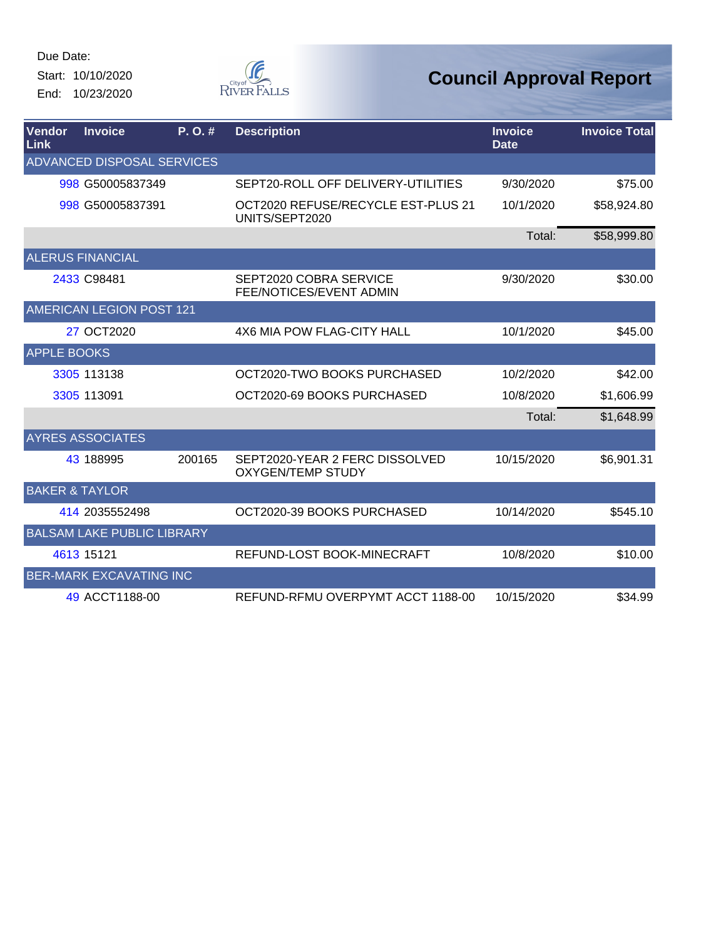Start: 10/10/2020 End: 10/23/2020



| Vendor<br>Link            | <b>Invoice</b>                    | P. O. # | <b>Description</b>                                         | <b>Invoice</b><br><b>Date</b> | <b>Invoice Total</b> |
|---------------------------|-----------------------------------|---------|------------------------------------------------------------|-------------------------------|----------------------|
|                           | ADVANCED DISPOSAL SERVICES        |         |                                                            |                               |                      |
|                           | 998 G50005837349                  |         | SEPT20-ROLL OFF DELIVERY-UTILITIES                         | 9/30/2020                     | \$75.00              |
|                           | 998 G50005837391                  |         | OCT2020 REFUSE/RECYCLE EST-PLUS 21<br>UNITS/SEPT2020       | 10/1/2020                     | \$58,924.80          |
|                           |                                   |         |                                                            | Total:                        | \$58,999.80          |
|                           | <b>ALERUS FINANCIAL</b>           |         |                                                            |                               |                      |
|                           | 2433 C98481                       |         | SEPT2020 COBRA SERVICE<br>FEE/NOTICES/EVENT ADMIN          | 9/30/2020                     | \$30.00              |
|                           | <b>AMERICAN LEGION POST 121</b>   |         |                                                            |                               |                      |
|                           | 27 OCT2020                        |         | 4X6 MIA POW FLAG-CITY HALL                                 | 10/1/2020                     | \$45.00              |
| <b>APPLE BOOKS</b>        |                                   |         |                                                            |                               |                      |
|                           | 3305 113138                       |         | OCT2020-TWO BOOKS PURCHASED                                | 10/2/2020                     | \$42.00              |
|                           | 3305 113091                       |         | OCT2020-69 BOOKS PURCHASED                                 | 10/8/2020                     | \$1,606.99           |
|                           |                                   |         |                                                            | Total:                        | \$1,648.99           |
|                           | <b>AYRES ASSOCIATES</b>           |         |                                                            |                               |                      |
|                           | 43 188995                         | 200165  | SEPT2020-YEAR 2 FERC DISSOLVED<br><b>OXYGEN/TEMP STUDY</b> | 10/15/2020                    | \$6,901.31           |
| <b>BAKER &amp; TAYLOR</b> |                                   |         |                                                            |                               |                      |
|                           | 414 2035552498                    |         | OCT2020-39 BOOKS PURCHASED                                 | 10/14/2020                    | \$545.10             |
|                           | <b>BALSAM LAKE PUBLIC LIBRARY</b> |         |                                                            |                               |                      |
|                           | 4613 15121                        |         | REFUND-LOST BOOK-MINECRAFT                                 | 10/8/2020                     | \$10.00              |
|                           | <b>BER-MARK EXCAVATING INC</b>    |         |                                                            |                               |                      |
|                           | 49 ACCT1188-00                    |         | REFUND-RFMU OVERPYMT ACCT 1188-00                          | 10/15/2020                    | \$34.99              |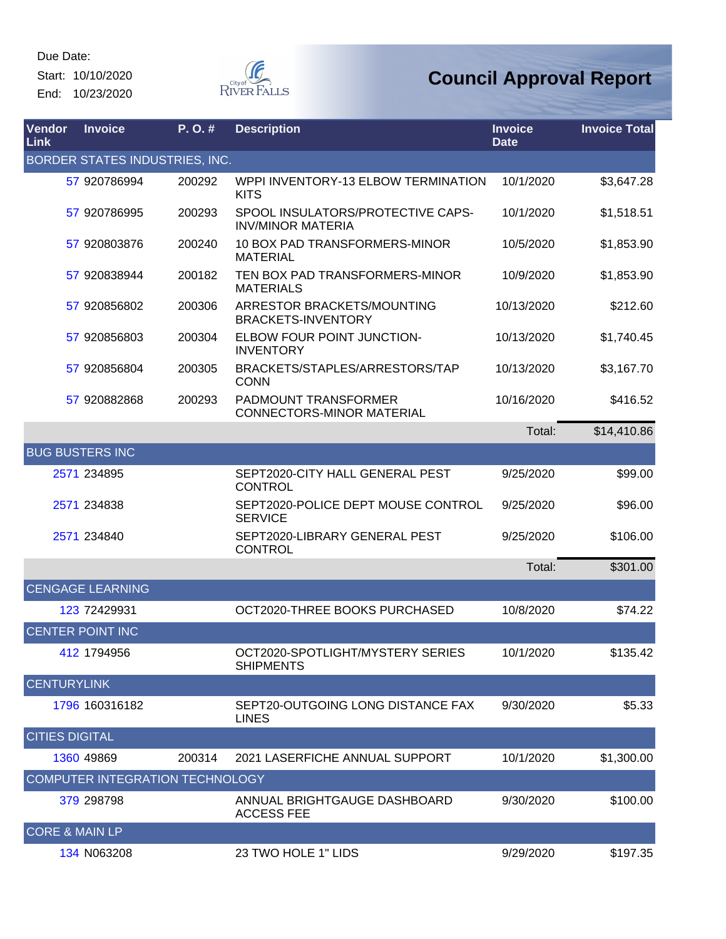Start: 10/10/2020 End: 10/23/2020



| Vendor<br>Link            | <b>Invoice</b>                  | P. O. # | <b>Description</b>                                              | <b>Invoice</b><br><b>Date</b> | <b>Invoice Total</b> |
|---------------------------|---------------------------------|---------|-----------------------------------------------------------------|-------------------------------|----------------------|
|                           | BORDER STATES INDUSTRIES, INC.  |         |                                                                 |                               |                      |
|                           | 57 920786994                    | 200292  | WPPI INVENTORY-13 ELBOW TERMINATION<br><b>KITS</b>              | 10/1/2020                     | \$3,647.28           |
|                           | 57 920786995                    | 200293  | SPOOL INSULATORS/PROTECTIVE CAPS-<br><b>INV/MINOR MATERIA</b>   | 10/1/2020                     | \$1,518.51           |
|                           | 57 920803876                    | 200240  | 10 BOX PAD TRANSFORMERS-MINOR<br><b>MATERIAL</b>                | 10/5/2020                     | \$1,853.90           |
|                           | 57 920838944                    | 200182  | TEN BOX PAD TRANSFORMERS-MINOR<br><b>MATERIALS</b>              | 10/9/2020                     | \$1,853.90           |
|                           | 57 920856802                    | 200306  | ARRESTOR BRACKETS/MOUNTING<br><b>BRACKETS-INVENTORY</b>         | 10/13/2020                    | \$212.60             |
|                           | 57 920856803                    | 200304  | ELBOW FOUR POINT JUNCTION-<br><b>INVENTORY</b>                  | 10/13/2020                    | \$1,740.45           |
|                           | 57 920856804                    | 200305  | BRACKETS/STAPLES/ARRESTORS/TAP<br><b>CONN</b>                   | 10/13/2020                    | \$3,167.70           |
|                           | 57 920882868                    | 200293  | <b>PADMOUNT TRANSFORMER</b><br><b>CONNECTORS-MINOR MATERIAL</b> | 10/16/2020                    | \$416.52             |
|                           |                                 |         |                                                                 | Total:                        | \$14,410.86          |
|                           | <b>BUG BUSTERS INC</b>          |         |                                                                 |                               |                      |
|                           | 2571 234895                     |         | SEPT2020-CITY HALL GENERAL PEST<br><b>CONTROL</b>               | 9/25/2020                     | \$99.00              |
|                           | 2571 234838                     |         | SEPT2020-POLICE DEPT MOUSE CONTROL<br><b>SERVICE</b>            | 9/25/2020                     | \$96.00              |
|                           | 2571 234840                     |         | SEPT2020-LIBRARY GENERAL PEST<br><b>CONTROL</b>                 | 9/25/2020                     | \$106.00             |
|                           |                                 |         |                                                                 | Total:                        | \$301.00             |
|                           | <b>CENGAGE LEARNING</b>         |         |                                                                 |                               |                      |
|                           | 123 72429931                    |         | OCT2020-THREE BOOKS PURCHASED                                   | 10/8/2020                     | \$74.22              |
|                           | <b>CENTER POINT INC</b>         |         |                                                                 |                               |                      |
|                           | 412 1794956                     |         | OCT2020-SPOTLIGHT/MYSTERY SERIES<br><b>SHIPMENTS</b>            | 10/1/2020                     | \$135.42             |
| <b>CENTURYLINK</b>        |                                 |         |                                                                 |                               |                      |
|                           | 1796 160316182                  |         | SEPT20-OUTGOING LONG DISTANCE FAX<br><b>LINES</b>               | 9/30/2020                     | \$5.33               |
| <b>CITIES DIGITAL</b>     |                                 |         |                                                                 |                               |                      |
|                           | 1360 49869                      | 200314  | 2021 LASERFICHE ANNUAL SUPPORT                                  | 10/1/2020                     | \$1,300.00           |
|                           | COMPUTER INTEGRATION TECHNOLOGY |         |                                                                 |                               |                      |
|                           | 379 298798                      |         | ANNUAL BRIGHTGAUGE DASHBOARD<br><b>ACCESS FEE</b>               | 9/30/2020                     | \$100.00             |
| <b>CORE &amp; MAIN LP</b> |                                 |         |                                                                 |                               |                      |
|                           | 134 N063208                     |         | 23 TWO HOLE 1" LIDS                                             | 9/29/2020                     | \$197.35             |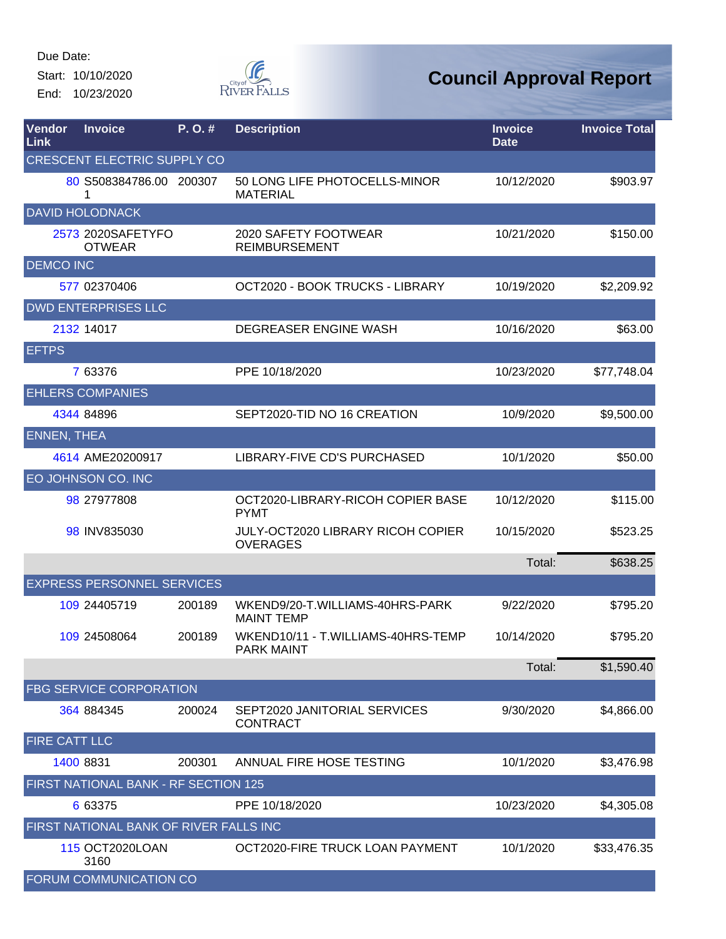Start: 10/10/2020 End: 10/23/2020



| Vendor<br>Link     | <b>Invoice</b>                         | P.O.#  | <b>Description</b>                                   | <b>Invoice</b><br><b>Date</b> | <b>Invoice Total</b> |
|--------------------|----------------------------------------|--------|------------------------------------------------------|-------------------------------|----------------------|
|                    | <b>CRESCENT ELECTRIC SUPPLY CO</b>     |        |                                                      |                               |                      |
|                    | 80 S508384786.00 200307<br>1           |        | 50 LONG LIFE PHOTOCELLS-MINOR<br><b>MATERIAL</b>     | 10/12/2020                    | \$903.97             |
|                    | <b>DAVID HOLODNACK</b>                 |        |                                                      |                               |                      |
|                    | 2573 2020SAFETYFO<br><b>OTWEAR</b>     |        | 2020 SAFETY FOOTWEAR<br><b>REIMBURSEMENT</b>         | 10/21/2020                    | \$150.00             |
| <b>DEMCO INC</b>   |                                        |        |                                                      |                               |                      |
|                    | 577 02370406                           |        | OCT2020 - BOOK TRUCKS - LIBRARY                      | 10/19/2020                    | \$2,209.92           |
|                    | <b>DWD ENTERPRISES LLC</b>             |        |                                                      |                               |                      |
|                    | 2132 14017                             |        | DEGREASER ENGINE WASH                                | 10/16/2020                    | \$63.00              |
| <b>EFTPS</b>       |                                        |        |                                                      |                               |                      |
|                    | 7 63376                                |        | PPE 10/18/2020                                       | 10/23/2020                    | \$77,748.04          |
|                    | <b>EHLERS COMPANIES</b>                |        |                                                      |                               |                      |
|                    | 4344 84896                             |        | SEPT2020-TID NO 16 CREATION                          | 10/9/2020                     | \$9,500.00           |
| <b>ENNEN, THEA</b> |                                        |        |                                                      |                               |                      |
|                    | 4614 AME20200917                       |        | LIBRARY-FIVE CD'S PURCHASED                          | 10/1/2020                     | \$50.00              |
|                    | EO JOHNSON CO. INC                     |        |                                                      |                               |                      |
|                    | 98 27977808                            |        | OCT2020-LIBRARY-RICOH COPIER BASE<br><b>PYMT</b>     | 10/12/2020                    | \$115.00             |
|                    | 98 INV835030                           |        | JULY-OCT2020 LIBRARY RICOH COPIER<br><b>OVERAGES</b> | 10/15/2020                    | \$523.25             |
|                    |                                        |        |                                                      | Total:                        | \$638.25             |
|                    | <b>EXPRESS PERSONNEL SERVICES</b>      |        |                                                      |                               |                      |
|                    | 109 24405719                           | 200189 | WKEND9/20-T.WILLIAMS-40HRS-PARK<br><b>MAINT TEMP</b> | 9/22/2020                     | \$795.20             |
|                    | 109 24508064                           | 200189 | WKEND10/11 - T.WILLIAMS-40HRS-TEMP<br>PARK MAINT     | 10/14/2020                    | \$795.20             |
|                    |                                        |        |                                                      | Total:                        | \$1,590.40           |
|                    | <b>FBG SERVICE CORPORATION</b>         |        |                                                      |                               |                      |
|                    | 364 884345                             | 200024 | SEPT2020 JANITORIAL SERVICES<br><b>CONTRACT</b>      | 9/30/2020                     | \$4,866.00           |
| FIRE CATT LLC      |                                        |        |                                                      |                               |                      |
|                    | 1400 8831                              | 200301 | ANNUAL FIRE HOSE TESTING                             | 10/1/2020                     | \$3,476.98           |
|                    | FIRST NATIONAL BANK - RF SECTION 125   |        |                                                      |                               |                      |
|                    | 6 63375                                |        | PPE 10/18/2020                                       | 10/23/2020                    | \$4,305.08           |
|                    | FIRST NATIONAL BANK OF RIVER FALLS INC |        |                                                      |                               |                      |
|                    | 115 OCT2020LOAN<br>3160                |        | OCT2020-FIRE TRUCK LOAN PAYMENT                      | 10/1/2020                     | \$33,476.35          |
|                    | FORUM COMMUNICATION CO                 |        |                                                      |                               |                      |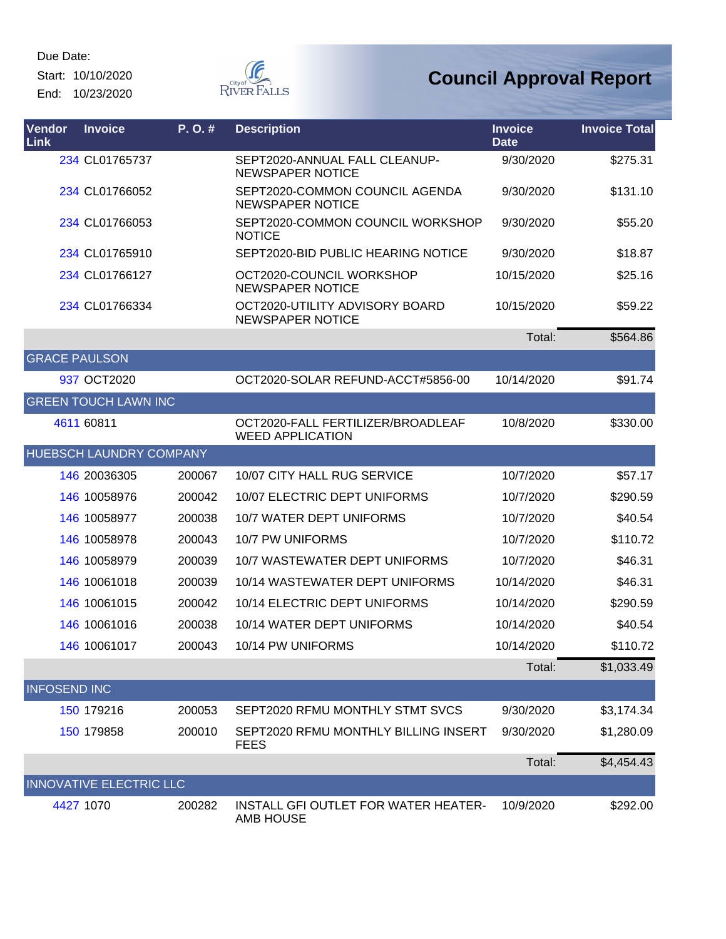Start: 10/10/2020 End: 10/23/2020



| Vendor<br>Link       | <b>Invoice</b>                 | P.O.#  | <b>Description</b>                                           | <b>Invoice</b><br><b>Date</b> | <b>Invoice Total</b> |
|----------------------|--------------------------------|--------|--------------------------------------------------------------|-------------------------------|----------------------|
|                      | 234 CL01765737                 |        | SEPT2020-ANNUAL FALL CLEANUP-<br><b>NEWSPAPER NOTICE</b>     | 9/30/2020                     | \$275.31             |
|                      | 234 CL01766052                 |        | SEPT2020-COMMON COUNCIL AGENDA<br><b>NEWSPAPER NOTICE</b>    | 9/30/2020                     | \$131.10             |
|                      | 234 CL01766053                 |        | SEPT2020-COMMON COUNCIL WORKSHOP<br><b>NOTICE</b>            | 9/30/2020                     | \$55.20              |
|                      | 234 CL01765910                 |        | SEPT2020-BID PUBLIC HEARING NOTICE                           | 9/30/2020                     | \$18.87              |
|                      | 234 CL01766127                 |        | OCT2020-COUNCIL WORKSHOP<br><b>NEWSPAPER NOTICE</b>          | 10/15/2020                    | \$25.16              |
|                      | 234 CL01766334                 |        | OCT2020-UTILITY ADVISORY BOARD<br><b>NEWSPAPER NOTICE</b>    | 10/15/2020                    | \$59.22              |
|                      |                                |        |                                                              | Total:                        | \$564.86             |
| <b>GRACE PAULSON</b> |                                |        |                                                              |                               |                      |
|                      | 937 OCT2020                    |        | OCT2020-SOLAR REFUND-ACCT#5856-00                            | 10/14/2020                    | \$91.74              |
|                      | <b>GREEN TOUCH LAWN INC</b>    |        |                                                              |                               |                      |
|                      | 4611 60811                     |        | OCT2020-FALL FERTILIZER/BROADLEAF<br><b>WEED APPLICATION</b> | 10/8/2020                     | \$330.00             |
|                      | HUEBSCH LAUNDRY COMPANY        |        |                                                              |                               |                      |
|                      | 146 20036305                   | 200067 | 10/07 CITY HALL RUG SERVICE                                  | 10/7/2020                     | \$57.17              |
|                      | 146 10058976                   | 200042 | 10/07 ELECTRIC DEPT UNIFORMS                                 | 10/7/2020                     | \$290.59             |
|                      | 146 10058977                   | 200038 | 10/7 WATER DEPT UNIFORMS                                     | 10/7/2020                     | \$40.54              |
|                      | 146 10058978                   | 200043 | 10/7 PW UNIFORMS                                             | 10/7/2020                     | \$110.72             |
|                      | 146 10058979                   | 200039 | 10/7 WASTEWATER DEPT UNIFORMS                                | 10/7/2020                     | \$46.31              |
|                      | 146 10061018                   | 200039 | 10/14 WASTEWATER DEPT UNIFORMS                               | 10/14/2020                    | \$46.31              |
|                      | 146 10061015                   | 200042 | 10/14 ELECTRIC DEPT UNIFORMS                                 | 10/14/2020                    | \$290.59             |
|                      | 146 10061016                   | 200038 | 10/14 WATER DEPT UNIFORMS                                    | 10/14/2020                    | \$40.54              |
|                      | 146 10061017                   | 200043 | 10/14 PW UNIFORMS                                            | 10/14/2020                    | \$110.72             |
|                      |                                |        |                                                              | Total:                        | \$1,033.49           |
| <b>INFOSEND INC</b>  |                                |        |                                                              |                               |                      |
|                      | 150 179216                     | 200053 | SEPT2020 RFMU MONTHLY STMT SVCS                              | 9/30/2020                     | \$3,174.34           |
|                      | 150 179858                     | 200010 | SEPT2020 RFMU MONTHLY BILLING INSERT<br><b>FEES</b>          | 9/30/2020                     | \$1,280.09           |
|                      |                                |        |                                                              | Total:                        | \$4,454.43           |
|                      | <b>INNOVATIVE ELECTRIC LLC</b> |        |                                                              |                               |                      |
|                      | 4427 1070                      | 200282 | INSTALL GFI OUTLET FOR WATER HEATER-<br>AMB HOUSE            | 10/9/2020                     | \$292.00             |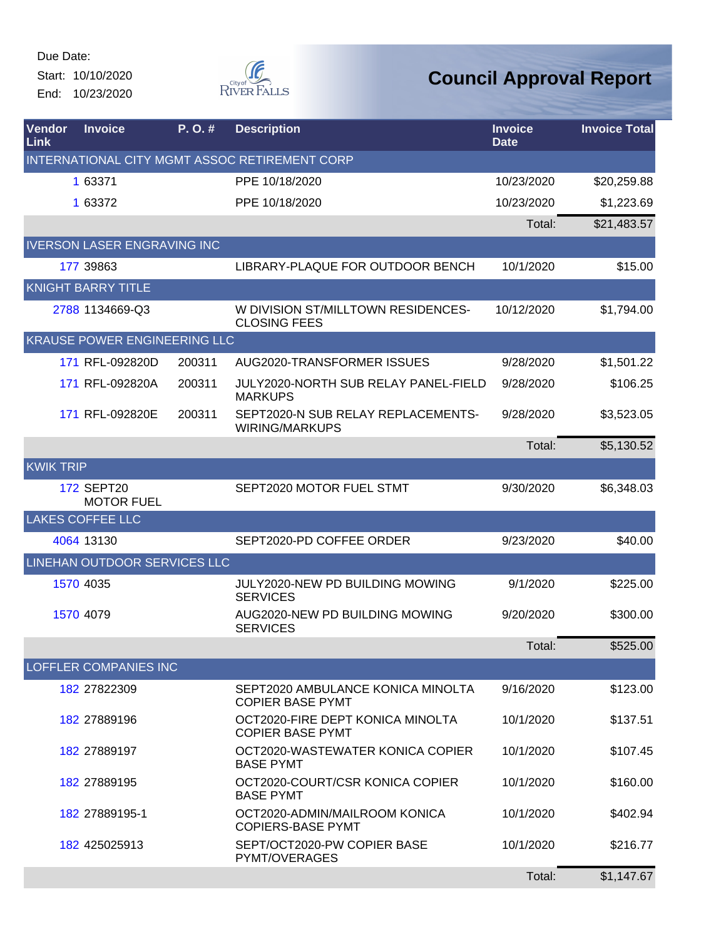Start: 10/10/2020 End: 10/23/2020



| <b>Vendor</b><br>Link | <b>Invoice</b>                         | P. O. # | <b>Description</b>                                            | <b>Invoice</b><br><b>Date</b> | <b>Invoice Total</b> |
|-----------------------|----------------------------------------|---------|---------------------------------------------------------------|-------------------------------|----------------------|
|                       |                                        |         | INTERNATIONAL CITY MGMT ASSOC RETIREMENT CORP                 |                               |                      |
|                       | 1 63371                                |         | PPE 10/18/2020                                                | 10/23/2020                    | \$20,259.88          |
|                       | 1 63372                                |         | PPE 10/18/2020                                                | 10/23/2020                    | \$1,223.69           |
|                       |                                        |         |                                                               | Total:                        | \$21,483.57          |
|                       | <b>IVERSON LASER ENGRAVING INC</b>     |         |                                                               |                               |                      |
|                       | 177 39863                              |         | LIBRARY-PLAQUE FOR OUTDOOR BENCH                              | 10/1/2020                     | \$15.00              |
|                       | <b>KNIGHT BARRY TITLE</b>              |         |                                                               |                               |                      |
|                       | 2788 1134669-Q3                        |         | W DIVISION ST/MILLTOWN RESIDENCES-<br><b>CLOSING FEES</b>     | 10/12/2020                    | \$1,794.00           |
|                       | KRAUSE POWER ENGINEERING LLC           |         |                                                               |                               |                      |
|                       | 171 RFL-092820D                        | 200311  | AUG2020-TRANSFORMER ISSUES                                    | 9/28/2020                     | \$1,501.22           |
|                       | 171 RFL-092820A                        | 200311  | <b>JULY2020-NORTH SUB RELAY PANEL-FIELD</b><br><b>MARKUPS</b> | 9/28/2020                     | \$106.25             |
|                       | 171 RFL-092820E                        | 200311  | SEPT2020-N SUB RELAY REPLACEMENTS-<br><b>WIRING/MARKUPS</b>   | 9/28/2020                     | \$3,523.05           |
|                       |                                        |         |                                                               | Total:                        | \$5,130.52           |
| <b>KWIK TRIP</b>      |                                        |         |                                                               |                               |                      |
|                       | <b>172 SEPT20</b><br><b>MOTOR FUEL</b> |         | SEPT2020 MOTOR FUEL STMT                                      | 9/30/2020                     | \$6,348.03           |
|                       | <b>LAKES COFFEE LLC</b>                |         |                                                               |                               |                      |
|                       | 4064 13130                             |         | SEPT2020-PD COFFEE ORDER                                      | 9/23/2020                     | \$40.00              |
|                       | LINEHAN OUTDOOR SERVICES LLC           |         |                                                               |                               |                      |
|                       | 1570 4035                              |         | JULY2020-NEW PD BUILDING MOWING<br><b>SERVICES</b>            | 9/1/2020                      | \$225.00             |
|                       | 1570 4079                              |         | AUG2020-NEW PD BUILDING MOWING<br><b>SERVICES</b>             | 9/20/2020                     | \$300.00             |
|                       |                                        |         |                                                               | Total:                        | \$525.00             |
|                       | <b>LOFFLER COMPANIES INC</b>           |         |                                                               |                               |                      |
|                       | 182 27822309                           |         | SEPT2020 AMBULANCE KONICA MINOLTA<br><b>COPIER BASE PYMT</b>  | 9/16/2020                     | \$123.00             |
|                       | 182 27889196                           |         | OCT2020-FIRE DEPT KONICA MINOLTA<br><b>COPIER BASE PYMT</b>   | 10/1/2020                     | \$137.51             |
|                       | 182 27889197                           |         | OCT2020-WASTEWATER KONICA COPIER<br><b>BASE PYMT</b>          | 10/1/2020                     | \$107.45             |
|                       | 182 27889195                           |         | OCT2020-COURT/CSR KONICA COPIER<br><b>BASE PYMT</b>           | 10/1/2020                     | \$160.00             |
|                       | 182 27889195-1                         |         | OCT2020-ADMIN/MAILROOM KONICA<br><b>COPIERS-BASE PYMT</b>     | 10/1/2020                     | \$402.94             |
|                       | 182 425025913                          |         | SEPT/OCT2020-PW COPIER BASE<br>PYMT/OVERAGES                  | 10/1/2020                     | \$216.77             |
|                       |                                        |         |                                                               | Total:                        | \$1,147.67           |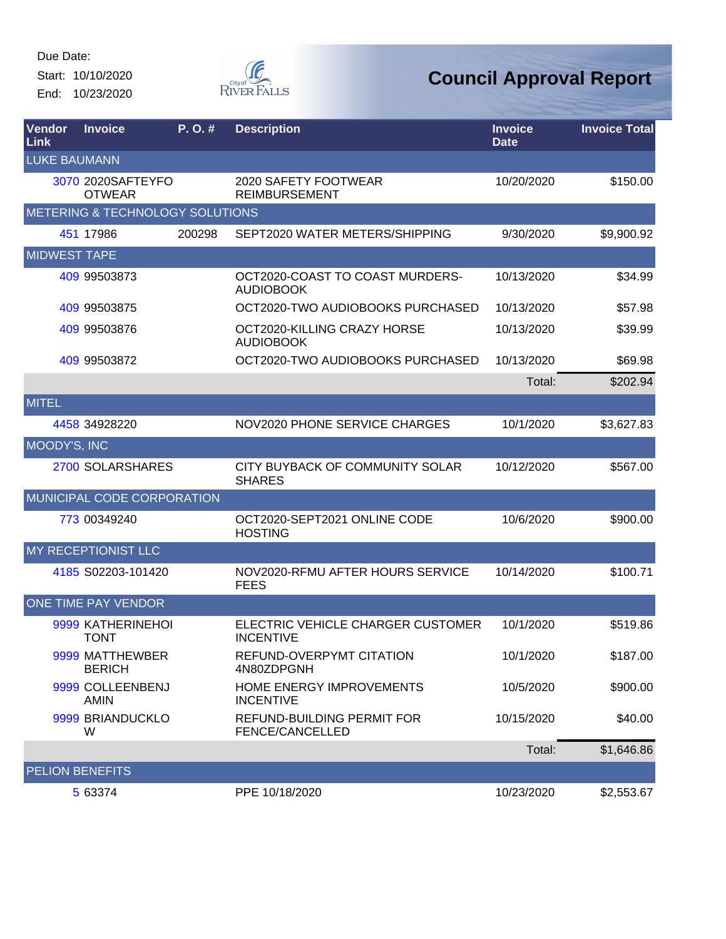Start: 10/10/2020 End: 10/23/2020



| <b>Vendor</b><br>Link | <b>Invoice</b>                     | $P. O.$ # | <b>Description</b>                                    | <b>Invoice</b><br><b>Date</b> | <b>Invoice Total</b> |
|-----------------------|------------------------------------|-----------|-------------------------------------------------------|-------------------------------|----------------------|
| <b>LUKE BAUMANN</b>   |                                    |           |                                                       |                               |                      |
|                       | 3070 2020SAFTEYFO<br><b>OTWEAR</b> |           | 2020 SAFETY FOOTWEAR<br><b>REIMBURSEMENT</b>          | 10/20/2020                    | \$150.00             |
|                       | METERING & TECHNOLOGY SOLUTIONS    |           |                                                       |                               |                      |
|                       | 451 17986                          | 200298    | SEPT2020 WATER METERS/SHIPPING                        | 9/30/2020                     | \$9,900.92           |
| <b>MIDWEST TAPE</b>   |                                    |           |                                                       |                               |                      |
|                       | 409 99503873                       |           | OCT2020-COAST TO COAST MURDERS-<br><b>AUDIOBOOK</b>   | 10/13/2020                    | \$34.99              |
|                       | 409 99503875                       |           | OCT2020-TWO AUDIOBOOKS PURCHASED                      | 10/13/2020                    | \$57.98              |
|                       | 409 99503876                       |           | OCT2020-KILLING CRAZY HORSE<br><b>AUDIOBOOK</b>       | 10/13/2020                    | \$39.99              |
|                       | 409 99503872                       |           | OCT2020-TWO AUDIOBOOKS PURCHASED                      | 10/13/2020                    | \$69.98              |
|                       |                                    |           |                                                       | Total:                        | \$202.94             |
| <b>MITEL</b>          |                                    |           |                                                       |                               |                      |
|                       | 4458 34928220                      |           | NOV2020 PHONE SERVICE CHARGES                         | 10/1/2020                     | \$3,627.83           |
| MOODY'S, INC          |                                    |           |                                                       |                               |                      |
|                       | 2700 SOLARSHARES                   |           | CITY BUYBACK OF COMMUNITY SOLAR<br><b>SHARES</b>      | 10/12/2020                    | \$567.00             |
|                       | MUNICIPAL CODE CORPORATION         |           |                                                       |                               |                      |
|                       | 773 00349240                       |           | OCT2020-SEPT2021 ONLINE CODE<br><b>HOSTING</b>        | 10/6/2020                     | \$900.00             |
|                       | MY RECEPTIONIST LLC                |           |                                                       |                               |                      |
|                       | 4185 S02203-101420                 |           | NOV2020-RFMU AFTER HOURS SERVICE<br><b>FEES</b>       | 10/14/2020                    | \$100.71             |
|                       | <b>ONE TIME PAY VENDOR</b>         |           |                                                       |                               |                      |
|                       | 9999 KATHERINEHOI<br><b>TONT</b>   |           | ELECTRIC VEHICLE CHARGER CUSTOMER<br><b>INCENTIVE</b> | 10/1/2020                     | \$519.86             |
|                       | 9999 MATTHEWBER<br><b>BERICH</b>   |           | REFUND-OVERPYMT CITATION<br>4N80ZDPGNH                | 10/1/2020                     | \$187.00             |
|                       | 9999 COLLEENBENJ<br><b>AMIN</b>    |           | HOME ENERGY IMPROVEMENTS<br><b>INCENTIVE</b>          | 10/5/2020                     | \$900.00             |
|                       | 9999 BRIANDUCKLO<br>W              |           | REFUND-BUILDING PERMIT FOR<br>FENCE/CANCELLED         | 10/15/2020                    | \$40.00              |
|                       |                                    |           |                                                       | Total:                        | \$1,646.86           |
|                       | <b>PELION BENEFITS</b>             |           |                                                       |                               |                      |
|                       | 5 63374                            |           | PPE 10/18/2020                                        | 10/23/2020                    | \$2,553.67           |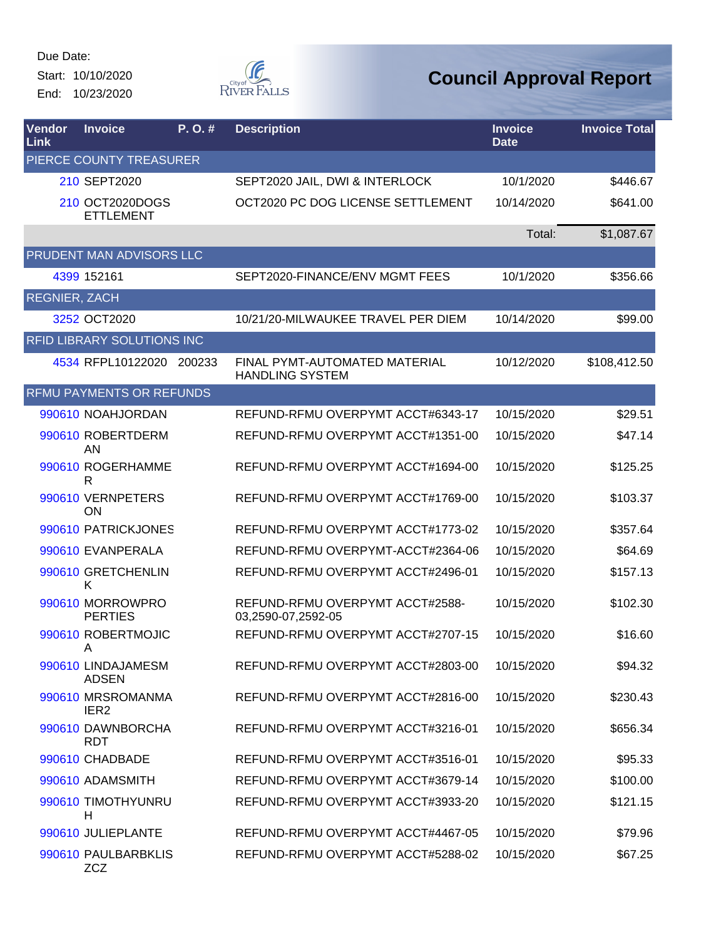Start: 10/10/2020 End: 10/23/2020



| Vendor<br>Link       | <b>Invoice</b>                        | P.O.#  | <b>Description</b>                                      | <b>Invoice</b><br><b>Date</b> | <b>Invoice Total</b> |
|----------------------|---------------------------------------|--------|---------------------------------------------------------|-------------------------------|----------------------|
|                      | PIERCE COUNTY TREASURER               |        |                                                         |                               |                      |
|                      | 210 SEPT2020                          |        | SEPT2020 JAIL, DWI & INTERLOCK                          | 10/1/2020                     | \$446.67             |
|                      | 210 OCT2020DOGS<br><b>ETTLEMENT</b>   |        | OCT2020 PC DOG LICENSE SETTLEMENT                       | 10/14/2020                    | \$641.00             |
|                      |                                       |        |                                                         | Total:                        | \$1,087.67           |
|                      | PRUDENT MAN ADVISORS LLC              |        |                                                         |                               |                      |
|                      | 4399 152161                           |        | SEPT2020-FINANCE/ENV MGMT FEES                          | 10/1/2020                     | \$356.66             |
| <b>REGNIER, ZACH</b> |                                       |        |                                                         |                               |                      |
|                      | 3252 OCT2020                          |        | 10/21/20-MILWAUKEE TRAVEL PER DIEM                      | 10/14/2020                    | \$99.00              |
|                      | <b>RFID LIBRARY SOLUTIONS INC</b>     |        |                                                         |                               |                      |
|                      | 4534 RFPL10122020                     | 200233 | FINAL PYMT-AUTOMATED MATERIAL<br><b>HANDLING SYSTEM</b> | 10/12/2020                    | \$108,412.50         |
|                      | <b>RFMU PAYMENTS OR REFUNDS</b>       |        |                                                         |                               |                      |
|                      | 990610 NOAHJORDAN                     |        | REFUND-RFMU OVERPYMT ACCT#6343-17                       | 10/15/2020                    | \$29.51              |
|                      | 990610 ROBERTDERM<br>AN               |        | REFUND-RFMU OVERPYMT ACCT#1351-00                       | 10/15/2020                    | \$47.14              |
|                      | 990610 ROGERHAMME<br>R                |        | REFUND-RFMU OVERPYMT ACCT#1694-00                       | 10/15/2020                    | \$125.25             |
|                      | 990610 VERNPETERS<br>ON               |        | REFUND-RFMU OVERPYMT ACCT#1769-00                       | 10/15/2020                    | \$103.37             |
|                      | 990610 PATRICKJONES                   |        | REFUND-RFMU OVERPYMT ACCT#1773-02                       | 10/15/2020                    | \$357.64             |
|                      | 990610 EVANPERALA                     |        | REFUND-RFMU OVERPYMT-ACCT#2364-06                       | 10/15/2020                    | \$64.69              |
|                      | 990610 GRETCHENLIN<br>Κ               |        | REFUND-RFMU OVERPYMT ACCT#2496-01                       | 10/15/2020                    | \$157.13             |
|                      | 990610 MORROWPRO<br><b>PERTIES</b>    |        | REFUND-RFMU OVERPYMT ACCT#2588-<br>03,2590-07,2592-05   | 10/15/2020                    | \$102.30             |
|                      | 990610 ROBERTMOJIC<br>A               |        | REFUND-RFMU OVERPYMT ACCT#2707-15                       | 10/15/2020                    | \$16.60              |
|                      | 990610 LINDAJAMESM<br><b>ADSEN</b>    |        | REFUND-RFMU OVERPYMT ACCT#2803-00                       | 10/15/2020                    | \$94.32              |
|                      | 990610 MRSROMANMA<br>IER <sub>2</sub> |        | REFUND-RFMU OVERPYMT ACCT#2816-00                       | 10/15/2020                    | \$230.43             |
|                      | 990610 DAWNBORCHA<br><b>RDT</b>       |        | REFUND-RFMU OVERPYMT ACCT#3216-01                       | 10/15/2020                    | \$656.34             |
|                      | 990610 CHADBADE                       |        | REFUND-RFMU OVERPYMT ACCT#3516-01                       | 10/15/2020                    | \$95.33              |
|                      | 990610 ADAMSMITH                      |        | REFUND-RFMU OVERPYMT ACCT#3679-14                       | 10/15/2020                    | \$100.00             |
|                      | 990610 TIMOTHYUNRU<br>н               |        | REFUND-RFMU OVERPYMT ACCT#3933-20                       | 10/15/2020                    | \$121.15             |
|                      | 990610 JULIEPLANTE                    |        | REFUND-RFMU OVERPYMT ACCT#4467-05                       | 10/15/2020                    | \$79.96              |
|                      | 990610 PAULBARBKLIS<br><b>ZCZ</b>     |        | REFUND-RFMU OVERPYMT ACCT#5288-02                       | 10/15/2020                    | \$67.25              |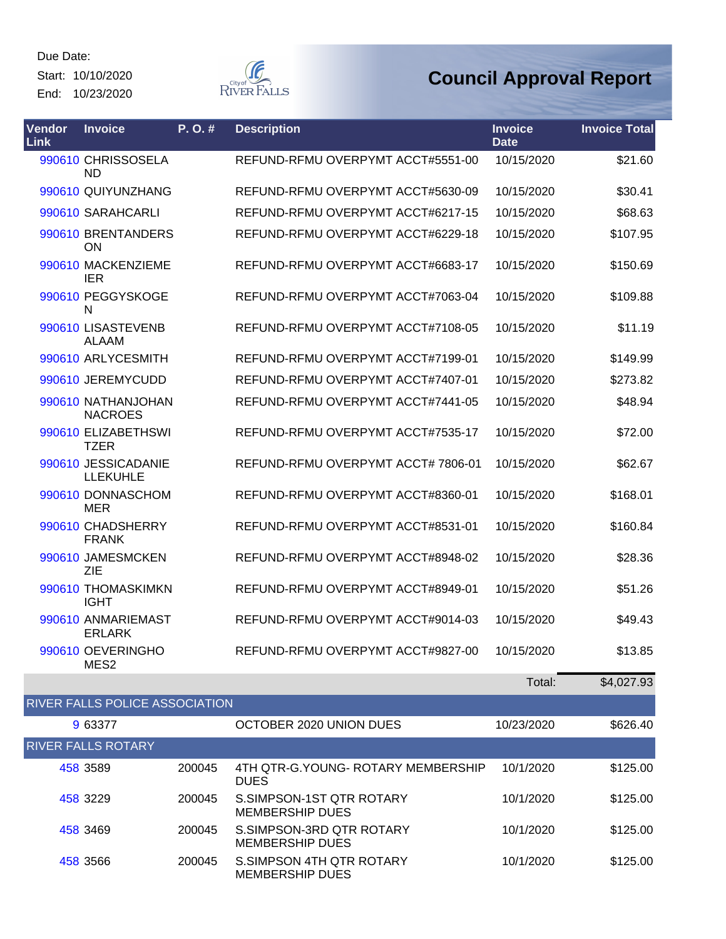Start: 10/10/2020 End: 10/23/2020



| Vendor<br>Link | <b>Invoice</b>                         | P.O.# | <b>Description</b>                 | <b>Invoice</b><br><b>Date</b> | <b>Invoice Total</b> |
|----------------|----------------------------------------|-------|------------------------------------|-------------------------------|----------------------|
|                | 990610 CHRISSOSELA<br><b>ND</b>        |       | REFUND-RFMU OVERPYMT ACCT#5551-00  | 10/15/2020                    | \$21.60              |
|                | 990610 QUIYUNZHANG                     |       | REFUND-RFMU OVERPYMT ACCT#5630-09  | 10/15/2020                    | \$30.41              |
|                | 990610 SARAHCARLI                      |       | REFUND-RFMU OVERPYMT ACCT#6217-15  | 10/15/2020                    | \$68.63              |
|                | 990610 BRENTANDERS<br>ON               |       | REFUND-RFMU OVERPYMT ACCT#6229-18  | 10/15/2020                    | \$107.95             |
|                | 990610 MACKENZIEME<br><b>IER</b>       |       | REFUND-RFMU OVERPYMT ACCT#6683-17  | 10/15/2020                    | \$150.69             |
|                | 990610 PEGGYSKOGE<br>N                 |       | REFUND-RFMU OVERPYMT ACCT#7063-04  | 10/15/2020                    | \$109.88             |
|                | 990610 LISASTEVENB<br><b>ALAAM</b>     |       | REFUND-RFMU OVERPYMT ACCT#7108-05  | 10/15/2020                    | \$11.19              |
|                | 990610 ARLYCESMITH                     |       | REFUND-RFMU OVERPYMT ACCT#7199-01  | 10/15/2020                    | \$149.99             |
|                | 990610 JEREMYCUDD                      |       | REFUND-RFMU OVERPYMT ACCT#7407-01  | 10/15/2020                    | \$273.82             |
|                | 990610 NATHANJOHAN<br><b>NACROES</b>   |       | REFUND-RFMU OVERPYMT ACCT#7441-05  | 10/15/2020                    | \$48.94              |
|                | 990610 ELIZABETHSWI<br><b>TZER</b>     |       | REFUND-RFMU OVERPYMT ACCT#7535-17  | 10/15/2020                    | \$72.00              |
|                | 990610 JESSICADANIE<br><b>LLEKUHLE</b> |       | REFUND-RFMU OVERPYMT ACCT# 7806-01 | 10/15/2020                    | \$62.67              |
|                | 990610 DONNASCHOM<br><b>MER</b>        |       | REFUND-RFMU OVERPYMT ACCT#8360-01  | 10/15/2020                    | \$168.01             |
|                | 990610 CHADSHERRY<br><b>FRANK</b>      |       | REFUND-RFMU OVERPYMT ACCT#8531-01  | 10/15/2020                    | \$160.84             |
|                | 990610 JAMESMCKEN<br>ZIE               |       | REFUND-RFMU OVERPYMT ACCT#8948-02  | 10/15/2020                    | \$28.36              |
|                | 990610 THOMASKIMKN<br><b>IGHT</b>      |       | REFUND-RFMU OVERPYMT ACCT#8949-01  | 10/15/2020                    | \$51.26              |
|                | 990610 ANMARIEMAST<br><b>ERLARK</b>    |       | REFUND-RFMU OVERPYMT ACCT#9014-03  | 10/15/2020                    | \$49.43              |
|                | 990610 OEVERINGHO<br>MES <sub>2</sub>  |       | REFUND-RFMU OVERPYMT ACCT#9827-00  | 10/15/2020                    | \$13.85              |
|                |                                        |       |                                    | Total:                        | \$4,027.93           |

| <b>RIVER FALLS POLICE ASSOCIATION</b> |        |                                                    |            |          |  |  |  |  |
|---------------------------------------|--------|----------------------------------------------------|------------|----------|--|--|--|--|
| 9 63377                               |        | OCTOBER 2020 UNION DUES                            | 10/23/2020 | \$626.40 |  |  |  |  |
| <b>RIVER FALLS ROTARY</b>             |        |                                                    |            |          |  |  |  |  |
| 458 3589                              | 200045 | 4TH QTR-G.YOUNG- ROTARY MEMBERSHIP<br><b>DUES</b>  | 10/1/2020  | \$125.00 |  |  |  |  |
| 458 3229                              | 200045 | S.SIMPSON-1ST QTR ROTARY<br><b>MEMBERSHIP DUES</b> | 10/1/2020  | \$125.00 |  |  |  |  |
| 458 3469                              | 200045 | S.SIMPSON-3RD QTR ROTARY<br><b>MEMBERSHIP DUES</b> | 10/1/2020  | \$125.00 |  |  |  |  |
| 458 3566                              | 200045 | S.SIMPSON 4TH QTR ROTARY<br><b>MEMBERSHIP DUES</b> | 10/1/2020  | \$125.00 |  |  |  |  |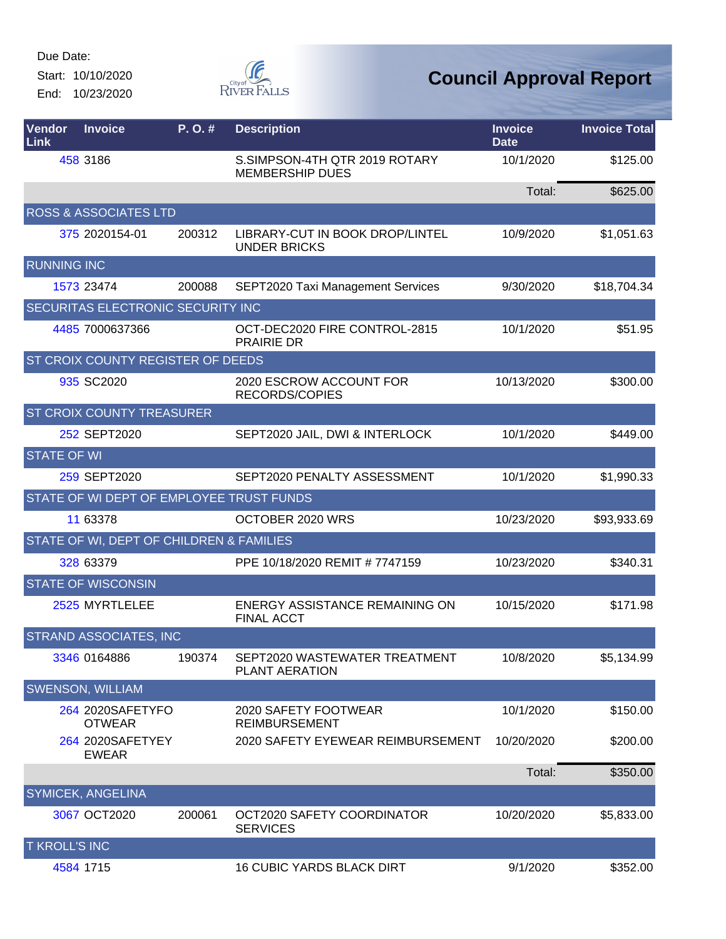Start: 10/10/2020 End: 10/23/2020



| Vendor<br>Link       | <b>Invoice</b>                           | P. O. # | <b>Description</b>                                      | <b>Invoice</b><br><b>Date</b> | <b>Invoice Total</b> |
|----------------------|------------------------------------------|---------|---------------------------------------------------------|-------------------------------|----------------------|
|                      | 458 3186                                 |         | S.SIMPSON-4TH QTR 2019 ROTARY<br><b>MEMBERSHIP DUES</b> | 10/1/2020                     | \$125.00             |
|                      |                                          |         |                                                         | Total:                        | \$625.00             |
|                      | <b>ROSS &amp; ASSOCIATES LTD</b>         |         |                                                         |                               |                      |
|                      | 375 2020154-01                           | 200312  | LIBRARY-CUT IN BOOK DROP/LINTEL<br><b>UNDER BRICKS</b>  | 10/9/2020                     | \$1,051.63           |
| <b>RUNNING INC</b>   |                                          |         |                                                         |                               |                      |
|                      | 1573 23474                               | 200088  | SEPT2020 Taxi Management Services                       | 9/30/2020                     | \$18,704.34          |
|                      | SECURITAS ELECTRONIC SECURITY INC        |         |                                                         |                               |                      |
|                      | 4485 7000637366                          |         | OCT-DEC2020 FIRE CONTROL-2815<br><b>PRAIRIE DR</b>      | 10/1/2020                     | \$51.95              |
|                      | ST CROIX COUNTY REGISTER OF DEEDS        |         |                                                         |                               |                      |
|                      | 935 SC2020                               |         | 2020 ESCROW ACCOUNT FOR<br>RECORDS/COPIES               | 10/13/2020                    | \$300.00             |
|                      | <b>ST CROIX COUNTY TREASURER</b>         |         |                                                         |                               |                      |
|                      | 252 SEPT2020                             |         | SEPT2020 JAIL, DWI & INTERLOCK                          | 10/1/2020                     | \$449.00             |
| <b>STATE OF WI</b>   |                                          |         |                                                         |                               |                      |
|                      | 259 SEPT2020                             |         | SEPT2020 PENALTY ASSESSMENT                             | 10/1/2020                     | \$1,990.33           |
|                      | STATE OF WI DEPT OF EMPLOYEE TRUST FUNDS |         |                                                         |                               |                      |
|                      | 11 63378                                 |         | OCTOBER 2020 WRS                                        | 10/23/2020                    | \$93,933.69          |
|                      | STATE OF WI, DEPT OF CHILDREN & FAMILIES |         |                                                         |                               |                      |
|                      | 328 63379                                |         | PPE 10/18/2020 REMIT # 7747159                          | 10/23/2020                    | \$340.31             |
|                      | <b>STATE OF WISCONSIN</b>                |         |                                                         |                               |                      |
|                      | 2525 MYRTLELEE                           |         | ENERGY ASSISTANCE REMAINING ON<br><b>FINAL ACCT</b>     | 10/15/2020                    | \$171.98             |
|                      | <b>STRAND ASSOCIATES, INC</b>            |         |                                                         |                               |                      |
|                      | 3346 0164886                             | 190374  | SEPT2020 WASTEWATER TREATMENT<br>PLANT AERATION         | 10/8/2020                     | \$5,134.99           |
|                      | <b>SWENSON, WILLIAM</b>                  |         |                                                         |                               |                      |
|                      | 264 2020SAFETYFO<br><b>OTWEAR</b>        |         | 2020 SAFETY FOOTWEAR<br><b>REIMBURSEMENT</b>            | 10/1/2020                     | \$150.00             |
|                      | 264 2020SAFETYEY<br><b>EWEAR</b>         |         | 2020 SAFETY EYEWEAR REIMBURSEMENT                       | 10/20/2020                    | \$200.00             |
|                      |                                          |         |                                                         | Total:                        | \$350.00             |
|                      | <b>SYMICEK, ANGELINA</b>                 |         |                                                         |                               |                      |
|                      | 3067 OCT2020                             | 200061  | OCT2020 SAFETY COORDINATOR<br><b>SERVICES</b>           | 10/20/2020                    | \$5,833.00           |
| <b>T KROLL'S INC</b> |                                          |         |                                                         |                               |                      |
|                      | 4584 1715                                |         | <b>16 CUBIC YARDS BLACK DIRT</b>                        | 9/1/2020                      | \$352.00             |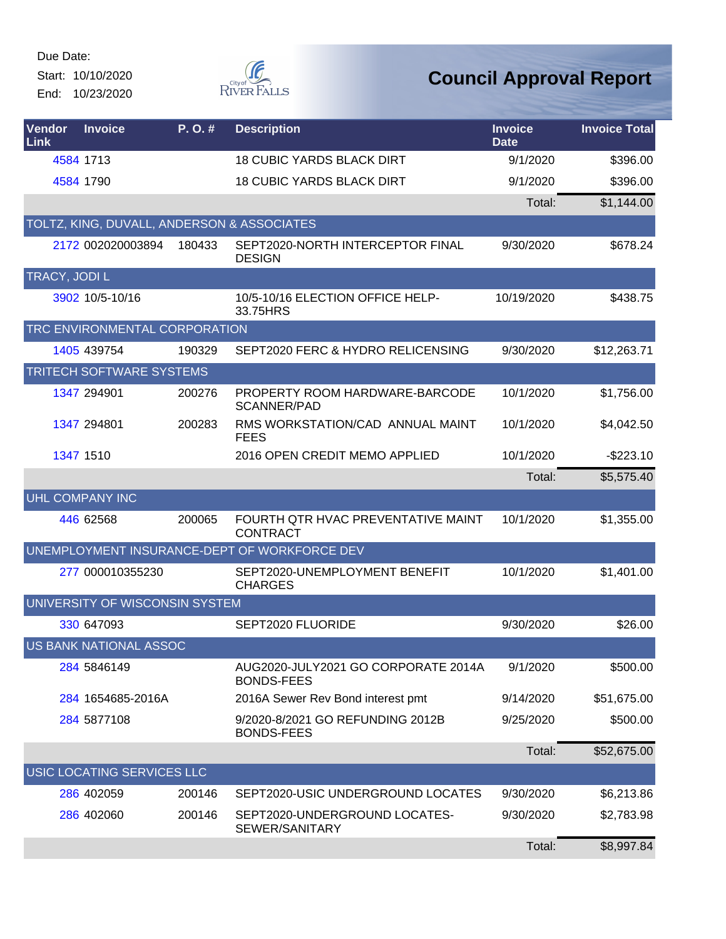Start: 10/10/2020 End: 10/23/2020



| Vendor<br>Link | <b>Invoice</b>                             | P. O. # | <b>Description</b>                                       | <b>Invoice</b><br><b>Date</b> | <b>Invoice Total</b> |
|----------------|--------------------------------------------|---------|----------------------------------------------------------|-------------------------------|----------------------|
|                | 4584 1713                                  |         | <b>18 CUBIC YARDS BLACK DIRT</b>                         | 9/1/2020                      | \$396.00             |
|                | 4584 1790                                  |         | <b>18 CUBIC YARDS BLACK DIRT</b>                         | 9/1/2020                      | \$396.00             |
|                |                                            |         |                                                          | Total:                        | \$1,144.00           |
|                | TOLTZ, KING, DUVALL, ANDERSON & ASSOCIATES |         |                                                          |                               |                      |
|                | 2172 002020003894                          | 180433  | SEPT2020-NORTH INTERCEPTOR FINAL<br><b>DESIGN</b>        | 9/30/2020                     | \$678.24             |
| TRACY, JODI L  |                                            |         |                                                          |                               |                      |
|                | 3902 10/5-10/16                            |         | 10/5-10/16 ELECTION OFFICE HELP-<br>33.75HRS             | 10/19/2020                    | \$438.75             |
|                | TRC ENVIRONMENTAL CORPORATION              |         |                                                          |                               |                      |
|                | 1405 439754                                | 190329  | SEPT2020 FERC & HYDRO RELICENSING                        | 9/30/2020                     | \$12,263.71          |
|                | TRITECH SOFTWARE SYSTEMS                   |         |                                                          |                               |                      |
|                | 1347 294901                                | 200276  | PROPERTY ROOM HARDWARE-BARCODE<br><b>SCANNER/PAD</b>     | 10/1/2020                     | \$1,756.00           |
|                | 1347 294801                                | 200283  | RMS WORKSTATION/CAD ANNUAL MAINT<br><b>FEES</b>          | 10/1/2020                     | \$4,042.50           |
|                | 1347 1510                                  |         | 2016 OPEN CREDIT MEMO APPLIED                            | 10/1/2020                     | $-$223.10$           |
|                |                                            |         |                                                          | Total:                        | \$5,575.40           |
|                | <b>UHL COMPANY INC</b>                     |         |                                                          |                               |                      |
|                | 446 62568                                  | 200065  | FOURTH QTR HVAC PREVENTATIVE MAINT<br><b>CONTRACT</b>    | 10/1/2020                     | \$1,355.00           |
|                |                                            |         | UNEMPLOYMENT INSURANCE-DEPT OF WORKFORCE DEV             |                               |                      |
|                | 277 000010355230                           |         | SEPT2020-UNEMPLOYMENT BENEFIT<br><b>CHARGES</b>          | 10/1/2020                     | \$1,401.00           |
|                | UNIVERSITY OF WISCONSIN SYSTEM             |         |                                                          |                               |                      |
|                | 330 647093                                 |         | SEPT2020 FLUORIDE                                        | 9/30/2020                     | \$26.00              |
|                | US BANK NATIONAL ASSOC                     |         |                                                          |                               |                      |
|                | 284 5846149                                |         | AUG2020-JULY2021 GO CORPORATE 2014A<br><b>BONDS-FEES</b> | 9/1/2020                      | \$500.00             |
|                | 284 1654685-2016A                          |         | 2016A Sewer Rev Bond interest pmt                        | 9/14/2020                     | \$51,675.00          |
|                | 284 5877108                                |         | 9/2020-8/2021 GO REFUNDING 2012B<br><b>BONDS-FEES</b>    | 9/25/2020                     | \$500.00             |
|                |                                            |         |                                                          | Total:                        | \$52,675.00          |
|                | USIC LOCATING SERVICES LLC                 |         |                                                          |                               |                      |
|                | 286 402059                                 | 200146  | SEPT2020-USIC UNDERGROUND LOCATES                        | 9/30/2020                     | \$6,213.86           |
|                | 286 402060                                 | 200146  | SEPT2020-UNDERGROUND LOCATES-<br>SEWER/SANITARY          | 9/30/2020                     | \$2,783.98           |
|                |                                            |         |                                                          | Total:                        | \$8,997.84           |